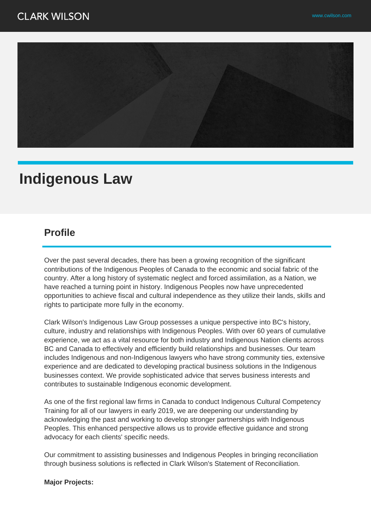

# **Indigenous Law**

## **Profile**

Over the past several decades, there has been a growing recognition of the significant contributions of the Indigenous Peoples of Canada to the economic and social fabric of the country. After a long history of systematic neglect and forced assimilation, as a Nation, we have reached a turning point in history. Indigenous Peoples now have unprecedented opportunities to achieve fiscal and cultural independence as they utilize their lands, skills and rights to participate more fully in the economy.

Clark Wilson's Indigenous Law Group possesses a unique perspective into BC's history, culture, industry and relationships with Indigenous Peoples. With over 60 years of cumulative experience, we act as a vital resource for both industry and Indigenous Nation clients across BC and Canada to effectively and efficiently build relationships and businesses. Our team includes Indigenous and non-Indigenous lawyers who have strong community ties, extensive experience and are dedicated to developing practical business solutions in the Indigenous businesses context. We provide sophisticated advice that serves business interests and contributes to sustainable Indigenous economic development.

As one of the first regional law firms in Canada to conduct Indigenous Cultural Competency Training for all of our lawyers in early 2019, we are deepening our understanding by acknowledging the past and working to develop stronger partnerships with Indigenous Peoples. This enhanced perspective allows us to provide effective guidance and strong advocacy for each clients' specific needs.

Our commitment to assisting businesses and Indigenous Peoples in bringing reconciliation through business solutions is reflected in Clark Wilson's Statement of Reconciliation.

#### **Major Projects:**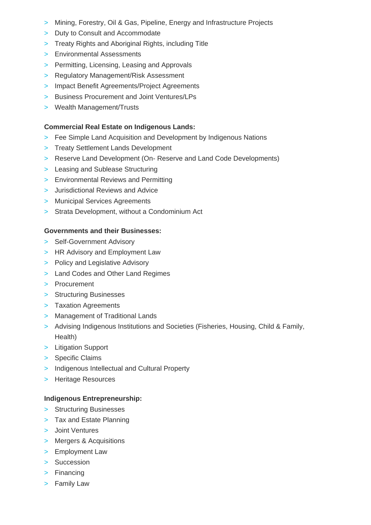- > Mining, Forestry, Oil & Gas, Pipeline, Energy and Infrastructure Projects
- > Duty to Consult and Accommodate
- > Treaty Rights and Aboriginal Rights, including Title
- > Environmental Assessments
- > Permitting, Licensing, Leasing and Approvals
- > Regulatory Management/Risk Assessment
- > Impact Benefit Agreements/Project Agreements
- > Business Procurement and Joint Ventures/LPs
- > Wealth Management/Trusts

#### **Commercial Real Estate on Indigenous Lands:**

- > Fee Simple Land Acquisition and Development by Indigenous Nations
- > Treaty Settlement Lands Development
- > Reserve Land Development (On- Reserve and Land Code Developments)
- > Leasing and Sublease Structuring
- > Environmental Reviews and Permitting
- > Jurisdictional Reviews and Advice
- > Municipal Services Agreements
- > Strata Development, without a Condominium Act

#### **Governments and their Businesses:**

- > Self-Government Advisory
- > HR Advisory and Employment Law
- > Policy and Legislative Advisory
- > Land Codes and Other Land Regimes
- > Procurement
- > Structuring Businesses
- > Taxation Agreements
- > Management of Traditional Lands
- > Advising Indigenous Institutions and Societies (Fisheries, Housing, Child & Family, Health)
- > Litigation Support
- > Specific Claims
- > Indigenous Intellectual and Cultural Property
- > Heritage Resources

### **Indigenous Entrepreneurship:**

- > Structuring Businesses
- > Tax and Estate Planning
- > Joint Ventures
- > Mergers & Acquisitions
- > Employment Law
- > Succession
- > Financing
- > Family Law